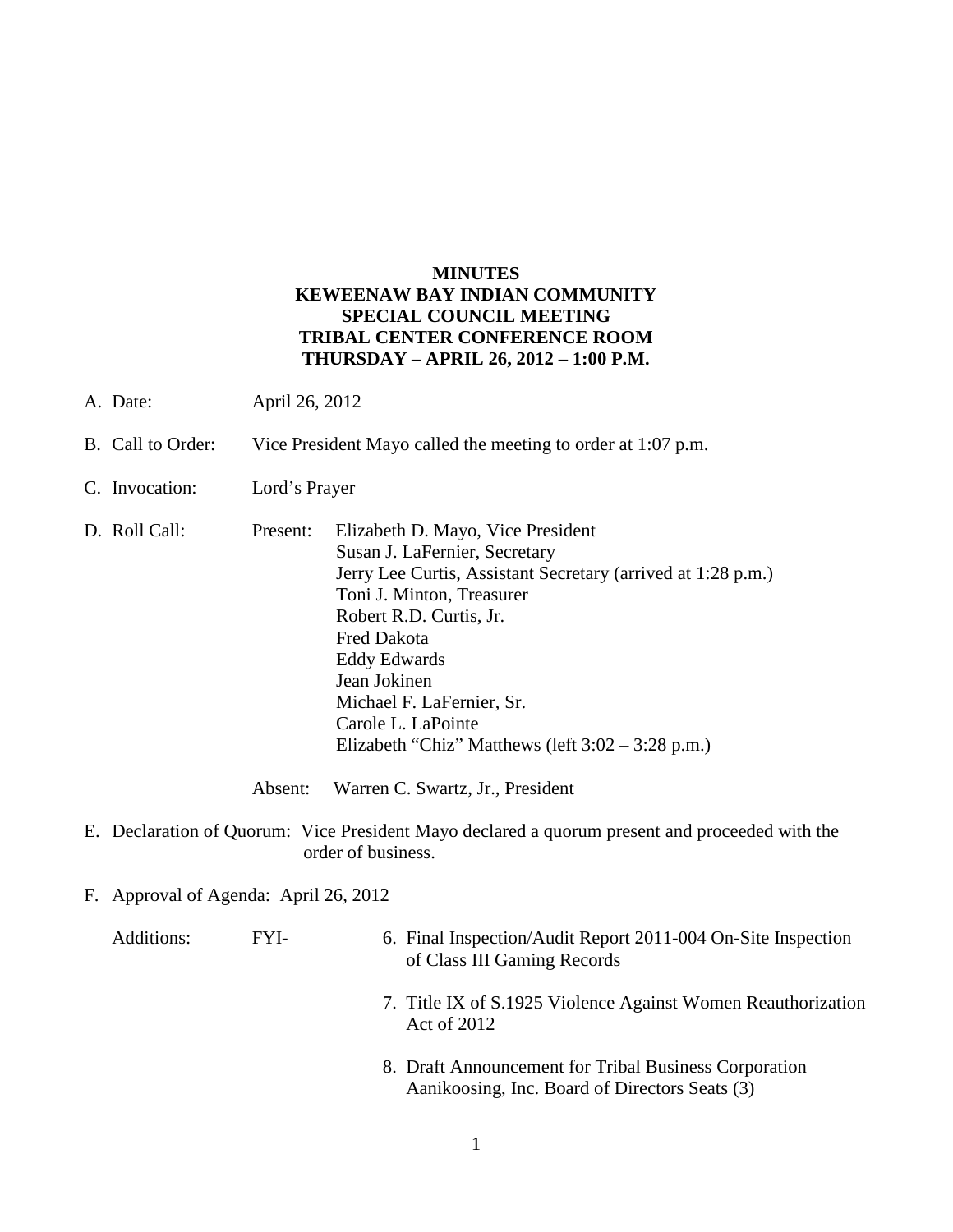## **MINUTES KEWEENAW BAY INDIAN COMMUNITY SPECIAL COUNCIL MEETING TRIBAL CENTER CONFERENCE ROOM THURSDAY – APRIL 26, 2012 – 1:00 P.M.**

- A. Date: April 26, 2012
- B. Call to Order: Vice President Mayo called the meeting to order at 1:07 p.m.
- C. Invocation: Lord's Prayer
- D. Roll Call: Present: Elizabeth D. Mayo, Vice President Susan J. LaFernier, Secretary Jerry Lee Curtis, Assistant Secretary (arrived at 1:28 p.m.) Toni J. Minton, Treasurer Robert R.D. Curtis, Jr. Fred Dakota Eddy Edwards Jean Jokinen Michael F. LaFernier, Sr. Carole L. LaPointe Elizabeth "Chiz" Matthews (left 3:02 – 3:28 p.m.)

Absent: Warren C. Swartz, Jr., President

- E. Declaration of Quorum: Vice President Mayo declared a quorum present and proceeded with the order of business.
- F. Approval of Agenda: April 26, 2012

Additions: FYI- 6. Final Inspection/Audit Report 2011-004 On-Site Inspection of Class III Gaming Records

- 7. Title IX of S.1925 Violence Against Women Reauthorization Act of 2012
- 8. Draft Announcement for Tribal Business Corporation Aanikoosing, Inc. Board of Directors Seats (3)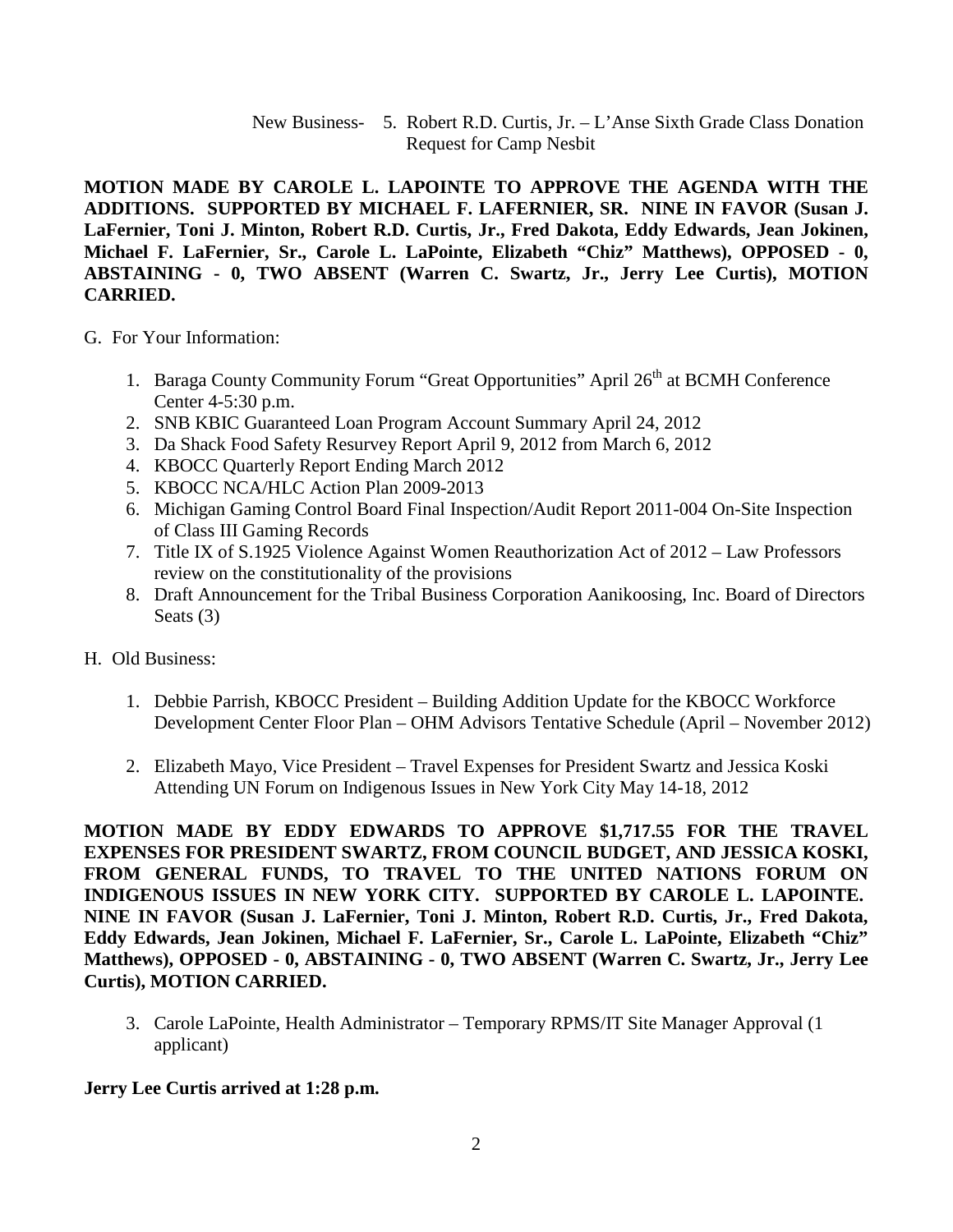New Business- 5. Robert R.D. Curtis, Jr. – L'Anse Sixth Grade Class Donation Request for Camp Nesbit

**MOTION MADE BY CAROLE L. LAPOINTE TO APPROVE THE AGENDA WITH THE ADDITIONS. SUPPORTED BY MICHAEL F. LAFERNIER, SR. NINE IN FAVOR (Susan J. LaFernier, Toni J. Minton, Robert R.D. Curtis, Jr., Fred Dakota, Eddy Edwards, Jean Jokinen, Michael F. LaFernier, Sr., Carole L. LaPointe, Elizabeth "Chiz" Matthews), OPPOSED - 0, ABSTAINING - 0, TWO ABSENT (Warren C. Swartz, Jr., Jerry Lee Curtis), MOTION CARRIED.**

- G. For Your Information:
	- 1. Baraga County Community Forum "Great Opportunities" April 26<sup>th</sup> at BCMH Conference Center 4-5:30 p.m.
	- 2. SNB KBIC Guaranteed Loan Program Account Summary April 24, 2012
	- 3. Da Shack Food Safety Resurvey Report April 9, 2012 from March 6, 2012
	- 4. KBOCC Quarterly Report Ending March 2012
	- 5. KBOCC NCA/HLC Action Plan 2009-2013
	- 6. Michigan Gaming Control Board Final Inspection/Audit Report 2011-004 On-Site Inspection of Class III Gaming Records
	- 7. Title IX of S.1925 Violence Against Women Reauthorization Act of 2012 Law Professors review on the constitutionality of the provisions
	- 8. Draft Announcement for the Tribal Business Corporation Aanikoosing, Inc. Board of Directors Seats (3)
- H. Old Business:
	- 1. Debbie Parrish, KBOCC President Building Addition Update for the KBOCC Workforce Development Center Floor Plan – OHM Advisors Tentative Schedule (April – November 2012)
	- 2. Elizabeth Mayo, Vice President Travel Expenses for President Swartz and Jessica Koski Attending UN Forum on Indigenous Issues in New York City May 14-18, 2012

**MOTION MADE BY EDDY EDWARDS TO APPROVE \$1,717.55 FOR THE TRAVEL EXPENSES FOR PRESIDENT SWARTZ, FROM COUNCIL BUDGET, AND JESSICA KOSKI, FROM GENERAL FUNDS, TO TRAVEL TO THE UNITED NATIONS FORUM ON INDIGENOUS ISSUES IN NEW YORK CITY. SUPPORTED BY CAROLE L. LAPOINTE. NINE IN FAVOR (Susan J. LaFernier, Toni J. Minton, Robert R.D. Curtis, Jr., Fred Dakota, Eddy Edwards, Jean Jokinen, Michael F. LaFernier, Sr., Carole L. LaPointe, Elizabeth "Chiz" Matthews), OPPOSED - 0, ABSTAINING - 0, TWO ABSENT (Warren C. Swartz, Jr., Jerry Lee Curtis), MOTION CARRIED.**

3. Carole LaPointe, Health Administrator – Temporary RPMS/IT Site Manager Approval (1 applicant)

**Jerry Lee Curtis arrived at 1:28 p.m.**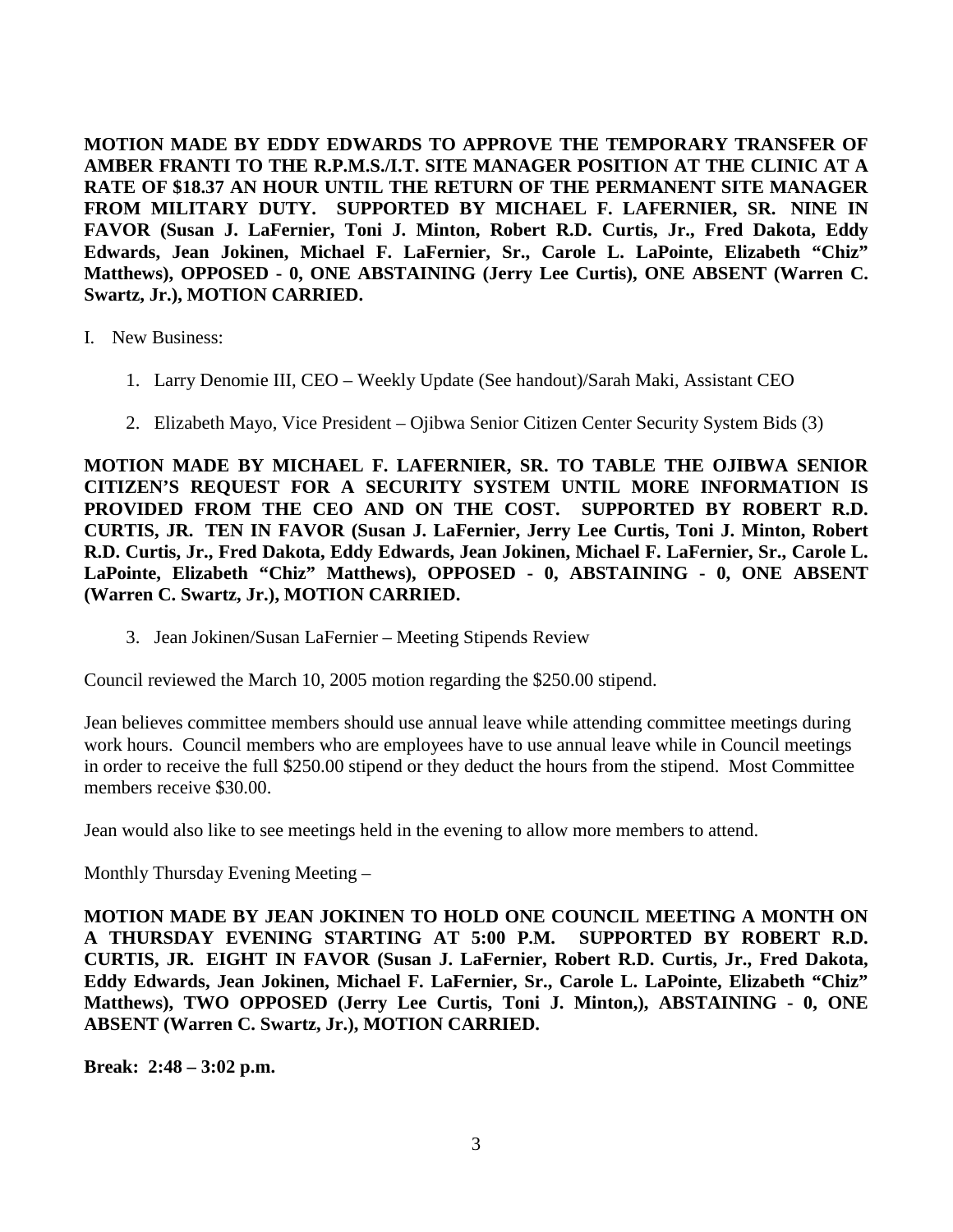**MOTION MADE BY EDDY EDWARDS TO APPROVE THE TEMPORARY TRANSFER OF AMBER FRANTI TO THE R.P.M.S./I.T. SITE MANAGER POSITION AT THE CLINIC AT A RATE OF \$18.37 AN HOUR UNTIL THE RETURN OF THE PERMANENT SITE MANAGER FROM MILITARY DUTY. SUPPORTED BY MICHAEL F. LAFERNIER, SR. NINE IN FAVOR (Susan J. LaFernier, Toni J. Minton, Robert R.D. Curtis, Jr., Fred Dakota, Eddy Edwards, Jean Jokinen, Michael F. LaFernier, Sr., Carole L. LaPointe, Elizabeth "Chiz" Matthews), OPPOSED - 0, ONE ABSTAINING (Jerry Lee Curtis), ONE ABSENT (Warren C. Swartz, Jr.), MOTION CARRIED.**

- I. New Business:
	- 1. Larry Denomie III, CEO Weekly Update (See handout)/Sarah Maki, Assistant CEO
	- 2. Elizabeth Mayo, Vice President Ojibwa Senior Citizen Center Security System Bids (3)

**MOTION MADE BY MICHAEL F. LAFERNIER, SR. TO TABLE THE OJIBWA SENIOR CITIZEN'S REQUEST FOR A SECURITY SYSTEM UNTIL MORE INFORMATION IS PROVIDED FROM THE CEO AND ON THE COST. SUPPORTED BY ROBERT R.D. CURTIS, JR. TEN IN FAVOR (Susan J. LaFernier, Jerry Lee Curtis, Toni J. Minton, Robert R.D. Curtis, Jr., Fred Dakota, Eddy Edwards, Jean Jokinen, Michael F. LaFernier, Sr., Carole L. LaPointe, Elizabeth "Chiz" Matthews), OPPOSED - 0, ABSTAINING - 0, ONE ABSENT (Warren C. Swartz, Jr.), MOTION CARRIED.**

3. Jean Jokinen/Susan LaFernier – Meeting Stipends Review

Council reviewed the March 10, 2005 motion regarding the \$250.00 stipend.

Jean believes committee members should use annual leave while attending committee meetings during work hours. Council members who are employees have to use annual leave while in Council meetings in order to receive the full \$250.00 stipend or they deduct the hours from the stipend. Most Committee members receive \$30.00.

Jean would also like to see meetings held in the evening to allow more members to attend.

Monthly Thursday Evening Meeting –

**MOTION MADE BY JEAN JOKINEN TO HOLD ONE COUNCIL MEETING A MONTH ON A THURSDAY EVENING STARTING AT 5:00 P.M. SUPPORTED BY ROBERT R.D. CURTIS, JR. EIGHT IN FAVOR (Susan J. LaFernier, Robert R.D. Curtis, Jr., Fred Dakota, Eddy Edwards, Jean Jokinen, Michael F. LaFernier, Sr., Carole L. LaPointe, Elizabeth "Chiz" Matthews), TWO OPPOSED (Jerry Lee Curtis, Toni J. Minton,), ABSTAINING - 0, ONE ABSENT (Warren C. Swartz, Jr.), MOTION CARRIED.**

**Break: 2:48 – 3:02 p.m.**